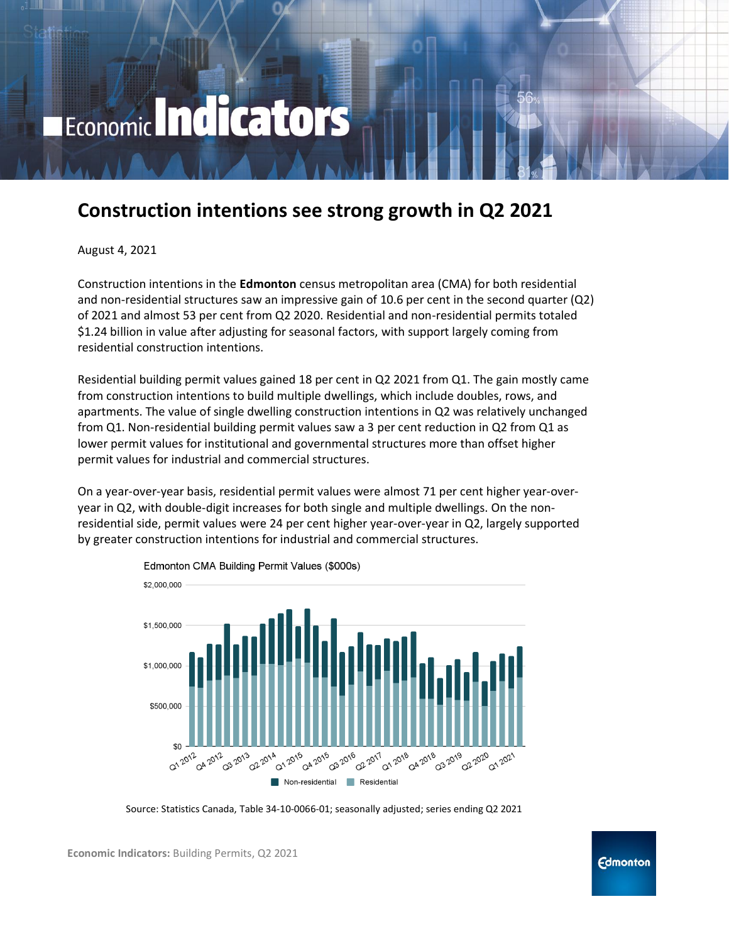# Economic Indicators

# **Construction intentions see strong growth in Q2 2021**

August 4, 2021

Construction intentions in the **Edmonton** census metropolitan area (CMA) for both residential and non-residential structures saw an impressive gain of 10.6 per cent in the second quarter (Q2) of 2021 and almost 53 per cent from Q2 2020. Residential and non-residential permits totaled \$1.24 billion in value after adjusting for seasonal factors, with support largely coming from residential construction intentions.

Residential building permit values gained 18 per cent in Q2 2021 from Q1. The gain mostly came from construction intentions to build multiple dwellings, which include doubles, rows, and apartments. The value of single dwelling construction intentions in Q2 was relatively unchanged from Q1. Non-residential building permit values saw a 3 per cent reduction in Q2 from Q1 as lower permit values for institutional and governmental structures more than offset higher permit values for industrial and commercial structures.

On a year-over-year basis, residential permit values were almost 71 per cent higher year-overyear in Q2, with double-digit increases for both single and multiple dwellings. On the nonresidential side, permit values were 24 per cent higher year-over-year in Q2, largely supported by greater construction intentions for industrial and commercial structures.



Edmonton CMA Building Permit Values (\$000s)

Source: Statistics Canada, Table 34-10-0066-01; seasonally adjusted; series ending Q2 2021

**Economic Indicators:** Building Permits, Q2 2021